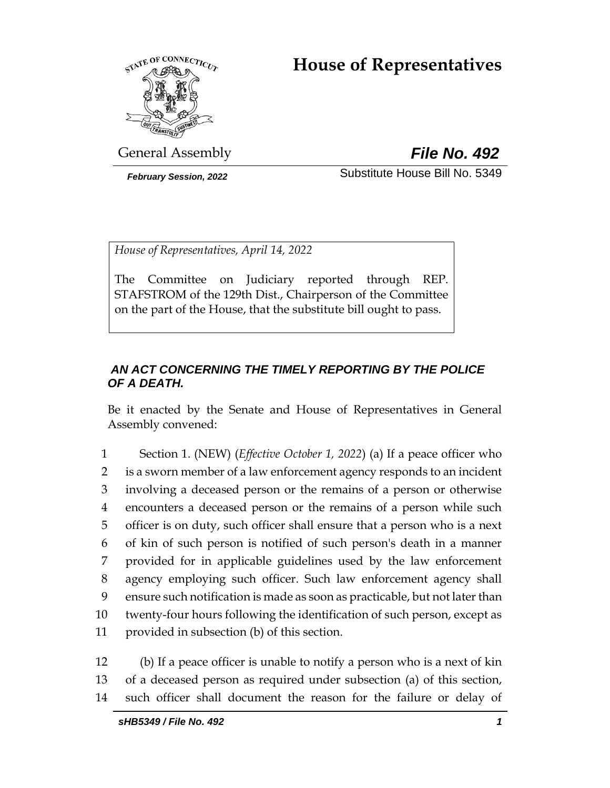# **House of Representatives**



General Assembly *File No. 492*

*February Session, 2022* Substitute House Bill No. 5349

*House of Representatives, April 14, 2022*

The Committee on Judiciary reported through REP. STAFSTROM of the 129th Dist., Chairperson of the Committee on the part of the House, that the substitute bill ought to pass.

# *AN ACT CONCERNING THE TIMELY REPORTING BY THE POLICE OF A DEATH.*

Be it enacted by the Senate and House of Representatives in General Assembly convened:

 Section 1. (NEW) (*Effective October 1, 2022*) (a) If a peace officer who is a sworn member of a law enforcement agency responds to an incident involving a deceased person or the remains of a person or otherwise encounters a deceased person or the remains of a person while such officer is on duty, such officer shall ensure that a person who is a next of kin of such person is notified of such person's death in a manner provided for in applicable guidelines used by the law enforcement agency employing such officer. Such law enforcement agency shall ensure such notification is made as soon as practicable, but not later than twenty-four hours following the identification of such person, except as provided in subsection (b) of this section.

12 (b) If a peace officer is unable to notify a person who is a next of kin 13 of a deceased person as required under subsection (a) of this section, 14 such officer shall document the reason for the failure or delay of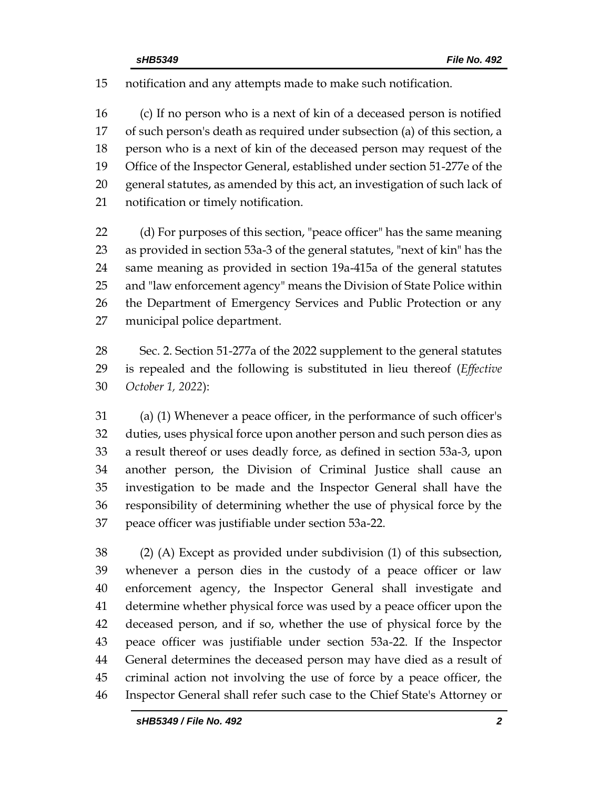notification and any attempts made to make such notification.

 (c) If no person who is a next of kin of a deceased person is notified of such person's death as required under subsection (a) of this section, a person who is a next of kin of the deceased person may request of the Office of the Inspector General, established under section 51-277e of the general statutes, as amended by this act, an investigation of such lack of notification or timely notification.

 (d) For purposes of this section, "peace officer" has the same meaning as provided in section 53a-3 of the general statutes, "next of kin" has the same meaning as provided in section 19a-415a of the general statutes and "law enforcement agency" means the Division of State Police within the Department of Emergency Services and Public Protection or any municipal police department.

 Sec. 2. Section 51-277a of the 2022 supplement to the general statutes is repealed and the following is substituted in lieu thereof (*Effective October 1, 2022*):

 (a) (1) Whenever a peace officer, in the performance of such officer's duties, uses physical force upon another person and such person dies as a result thereof or uses deadly force, as defined in section 53a-3, upon another person, the Division of Criminal Justice shall cause an investigation to be made and the Inspector General shall have the responsibility of determining whether the use of physical force by the peace officer was justifiable under section 53a-22.

 (2) (A) Except as provided under subdivision (1) of this subsection, whenever a person dies in the custody of a peace officer or law enforcement agency, the Inspector General shall investigate and determine whether physical force was used by a peace officer upon the deceased person, and if so, whether the use of physical force by the peace officer was justifiable under section 53a-22. If the Inspector General determines the deceased person may have died as a result of criminal action not involving the use of force by a peace officer, the Inspector General shall refer such case to the Chief State's Attorney or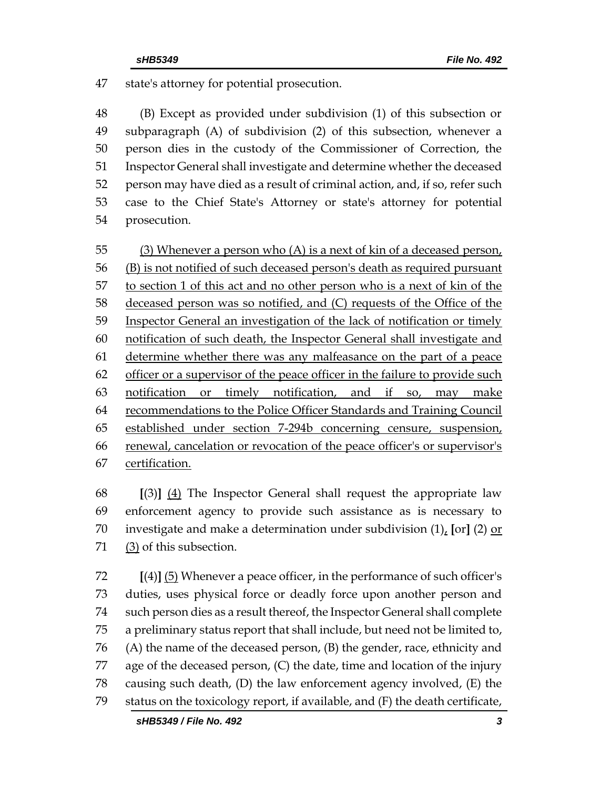state's attorney for potential prosecution.

 (B) Except as provided under subdivision (1) of this subsection or subparagraph (A) of subdivision (2) of this subsection, whenever a person dies in the custody of the Commissioner of Correction, the Inspector General shall investigate and determine whether the deceased person may have died as a result of criminal action, and, if so, refer such case to the Chief State's Attorney or state's attorney for potential prosecution.

55 (3) Whenever a person who (A) is a next of kin of a deceased person, (B) is not notified of such deceased person's death as required pursuant to section 1 of this act and no other person who is a next of kin of the deceased person was so notified, and (C) requests of the Office of the Inspector General an investigation of the lack of notification or timely notification of such death, the Inspector General shall investigate and determine whether there was any malfeasance on the part of a peace 62 officer or a supervisor of the peace officer in the failure to provide such notification or timely notification, and if so, may make recommendations to the Police Officer Standards and Training Council established under section 7-294b concerning censure, suspension, renewal, cancelation or revocation of the peace officer's or supervisor's certification.

 **[**(3)**]** (4) The Inspector General shall request the appropriate law enforcement agency to provide such assistance as is necessary to investigate and make a determination under subdivision (1), **[**or**]** (2) or (3) of this subsection.

 **[**(4)**]** (5) Whenever a peace officer, in the performance of such officer's duties, uses physical force or deadly force upon another person and such person dies as a result thereof, the Inspector General shall complete a preliminary status report that shall include, but need not be limited to, (A) the name of the deceased person, (B) the gender, race, ethnicity and age of the deceased person, (C) the date, time and location of the injury causing such death, (D) the law enforcement agency involved, (E) the status on the toxicology report, if available, and (F) the death certificate,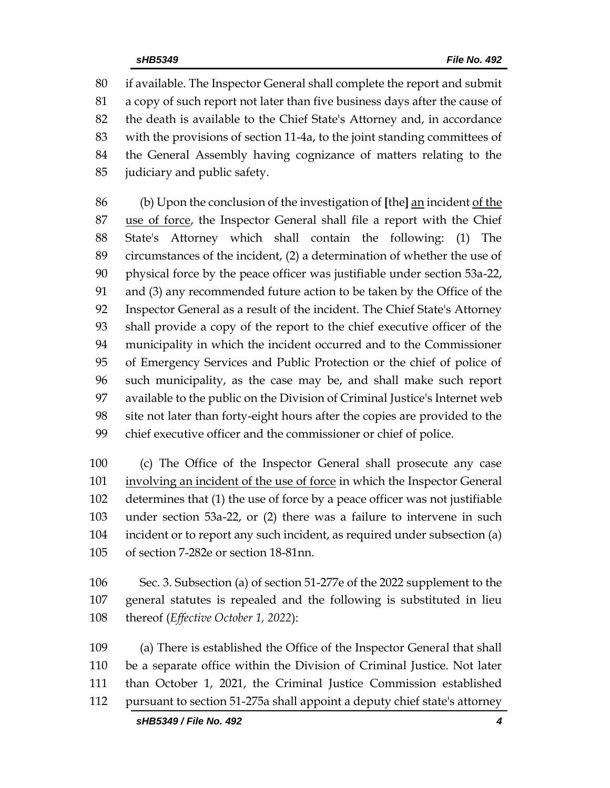if available. The Inspector General shall complete the report and submit a copy of such report not later than five business days after the cause of the death is available to the Chief State's Attorney and, in accordance with the provisions of section 11-4a, to the joint standing committees of the General Assembly having cognizance of matters relating to the judiciary and public safety.

 (b) Upon the conclusion of the investigation of **[**the**]** an incident of the use of force, the Inspector General shall file a report with the Chief State's Attorney which shall contain the following: (1) The circumstances of the incident, (2) a determination of whether the use of physical force by the peace officer was justifiable under section 53a-22, and (3) any recommended future action to be taken by the Office of the Inspector General as a result of the incident. The Chief State's Attorney shall provide a copy of the report to the chief executive officer of the municipality in which the incident occurred and to the Commissioner of Emergency Services and Public Protection or the chief of police of such municipality, as the case may be, and shall make such report available to the public on the Division of Criminal Justice's Internet web site not later than forty-eight hours after the copies are provided to the chief executive officer and the commissioner or chief of police.

 (c) The Office of the Inspector General shall prosecute any case involving an incident of the use of force in which the Inspector General determines that (1) the use of force by a peace officer was not justifiable under section 53a-22, or (2) there was a failure to intervene in such incident or to report any such incident, as required under subsection (a) of section 7-282e or section 18-81nn.

 Sec. 3. Subsection (a) of section 51-277e of the 2022 supplement to the general statutes is repealed and the following is substituted in lieu thereof (*Effective October 1, 2022*):

 (a) There is established the Office of the Inspector General that shall be a separate office within the Division of Criminal Justice. Not later than October 1, 2021, the Criminal Justice Commission established pursuant to section 51-275a shall appoint a deputy chief state's attorney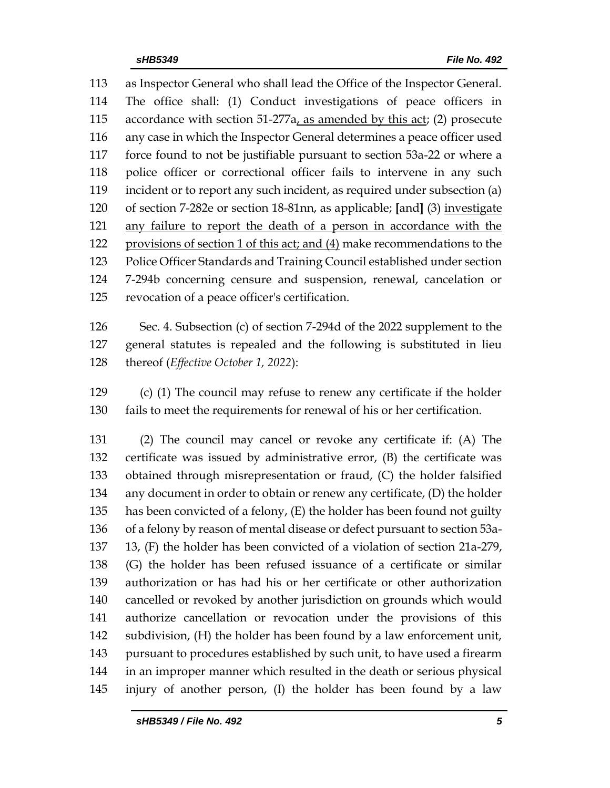as Inspector General who shall lead the Office of the Inspector General. The office shall: (1) Conduct investigations of peace officers in accordance with section 51-277a, as amended by this act; (2) prosecute any case in which the Inspector General determines a peace officer used force found to not be justifiable pursuant to section 53a-22 or where a police officer or correctional officer fails to intervene in any such incident or to report any such incident, as required under subsection (a) of section 7-282e or section 18-81nn, as applicable; **[**and**]** (3) investigate any failure to report the death of a person in accordance with the provisions of section 1 of this act; and (4) make recommendations to the Police Officer Standards and Training Council established under section 7-294b concerning censure and suspension, renewal, cancelation or revocation of a peace officer's certification.

 Sec. 4. Subsection (c) of section 7-294d of the 2022 supplement to the general statutes is repealed and the following is substituted in lieu thereof (*Effective October 1, 2022*):

 (c) (1) The council may refuse to renew any certificate if the holder fails to meet the requirements for renewal of his or her certification.

 (2) The council may cancel or revoke any certificate if: (A) The certificate was issued by administrative error, (B) the certificate was obtained through misrepresentation or fraud, (C) the holder falsified any document in order to obtain or renew any certificate, (D) the holder has been convicted of a felony, (E) the holder has been found not guilty of a felony by reason of mental disease or defect pursuant to section 53a- 13, (F) the holder has been convicted of a violation of section 21a-279, (G) the holder has been refused issuance of a certificate or similar authorization or has had his or her certificate or other authorization cancelled or revoked by another jurisdiction on grounds which would authorize cancellation or revocation under the provisions of this subdivision, (H) the holder has been found by a law enforcement unit, pursuant to procedures established by such unit, to have used a firearm in an improper manner which resulted in the death or serious physical injury of another person, (I) the holder has been found by a law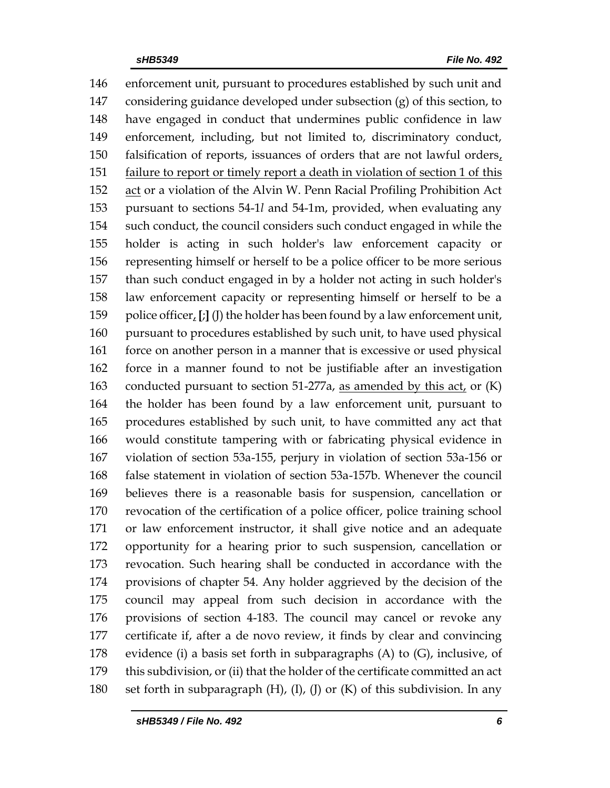enforcement unit, pursuant to procedures established by such unit and considering guidance developed under subsection (g) of this section, to have engaged in conduct that undermines public confidence in law enforcement, including, but not limited to, discriminatory conduct, 150 falsification of reports, issuances of orders that are not lawful orders, 151 failure to report or timely report a death in violation of section 1 of this act or a violation of the Alvin W. Penn Racial Profiling Prohibition Act pursuant to sections 54-1*l* and 54-1m, provided, when evaluating any such conduct, the council considers such conduct engaged in while the holder is acting in such holder's law enforcement capacity or representing himself or herself to be a police officer to be more serious than such conduct engaged in by a holder not acting in such holder's law enforcement capacity or representing himself or herself to be a police officer, **[**;**]** (J) the holder has been found by a law enforcement unit, pursuant to procedures established by such unit, to have used physical force on another person in a manner that is excessive or used physical force in a manner found to not be justifiable after an investigation conducted pursuant to section 51-277a, as amended by this act, or (K) the holder has been found by a law enforcement unit, pursuant to procedures established by such unit, to have committed any act that would constitute tampering with or fabricating physical evidence in violation of section 53a-155, perjury in violation of section 53a-156 or false statement in violation of section 53a-157b. Whenever the council believes there is a reasonable basis for suspension, cancellation or revocation of the certification of a police officer, police training school or law enforcement instructor, it shall give notice and an adequate opportunity for a hearing prior to such suspension, cancellation or revocation. Such hearing shall be conducted in accordance with the provisions of chapter 54. Any holder aggrieved by the decision of the council may appeal from such decision in accordance with the provisions of section 4-183. The council may cancel or revoke any certificate if, after a de novo review, it finds by clear and convincing evidence (i) a basis set forth in subparagraphs (A) to (G), inclusive, of this subdivision, or (ii) that the holder of the certificate committed an act set forth in subparagraph (H), (I), (J) or (K) of this subdivision. In any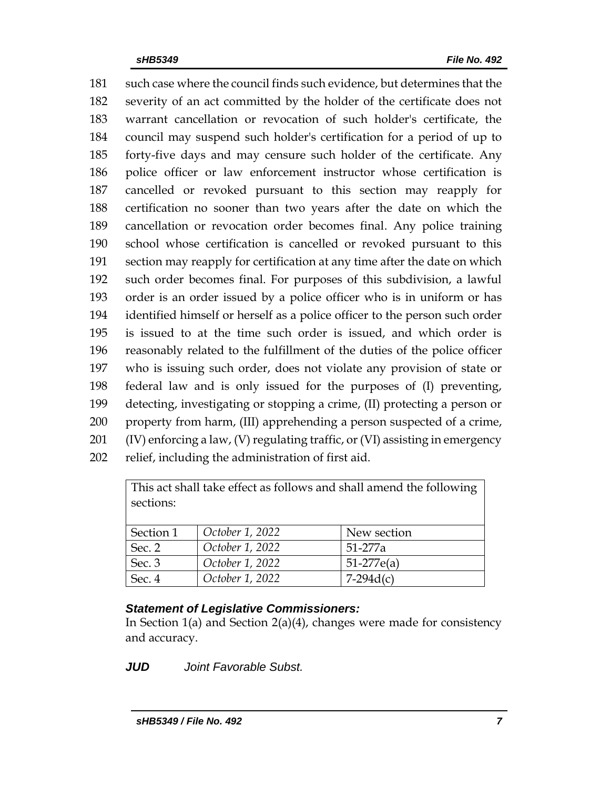such case where the council finds such evidence, but determines that the severity of an act committed by the holder of the certificate does not warrant cancellation or revocation of such holder's certificate, the council may suspend such holder's certification for a period of up to forty-five days and may censure such holder of the certificate. Any police officer or law enforcement instructor whose certification is cancelled or revoked pursuant to this section may reapply for certification no sooner than two years after the date on which the cancellation or revocation order becomes final. Any police training school whose certification is cancelled or revoked pursuant to this section may reapply for certification at any time after the date on which such order becomes final. For purposes of this subdivision, a lawful order is an order issued by a police officer who is in uniform or has identified himself or herself as a police officer to the person such order is issued to at the time such order is issued, and which order is reasonably related to the fulfillment of the duties of the police officer who is issuing such order, does not violate any provision of state or federal law and is only issued for the purposes of (I) preventing, detecting, investigating or stopping a crime, (II) protecting a person or property from harm, (III) apprehending a person suspected of a crime,  $(IV)$  enforcing a law,  $(V)$  regulating traffic, or  $(VI)$  assisting in emergency relief, including the administration of first aid.

| This act shall take effect as follows and shall amend the following |                 |              |
|---------------------------------------------------------------------|-----------------|--------------|
| sections:                                                           |                 |              |
|                                                                     |                 |              |
| Section 1                                                           | October 1, 2022 | New section  |
| Sec. 2                                                              | October 1, 2022 | 51-277a      |
| Sec. 3                                                              | October 1, 2022 | $51-277e(a)$ |
| Sec. 4                                                              | October 1, 2022 | $7-294d(c)$  |

## *Statement of Legislative Commissioners:*

In Section 1(a) and Section 2(a)(4), changes were made for consistency and accuracy.

*JUD Joint Favorable Subst.*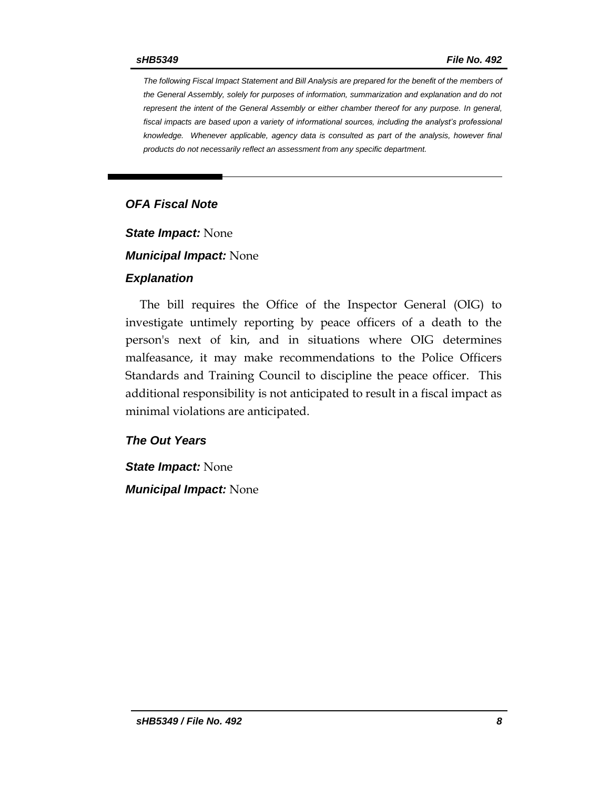*The following Fiscal Impact Statement and Bill Analysis are prepared for the benefit of the members of the General Assembly, solely for purposes of information, summarization and explanation and do not represent the intent of the General Assembly or either chamber thereof for any purpose. In general,*  fiscal impacts are based upon a variety of informational sources, including the analyst's professional *knowledge. Whenever applicable, agency data is consulted as part of the analysis, however final products do not necessarily reflect an assessment from any specific department.*

### *OFA Fiscal Note*

*State Impact:* None

*Municipal Impact:* None

#### *Explanation*

The bill requires the Office of the Inspector General (OIG) to investigate untimely reporting by peace officers of a death to the person's next of kin, and in situations where OIG determines malfeasance, it may make recommendations to the Police Officers Standards and Training Council to discipline the peace officer. This additional responsibility is not anticipated to result in a fiscal impact as minimal violations are anticipated.

#### *The Out Years*

*State Impact:* None *Municipal Impact:* None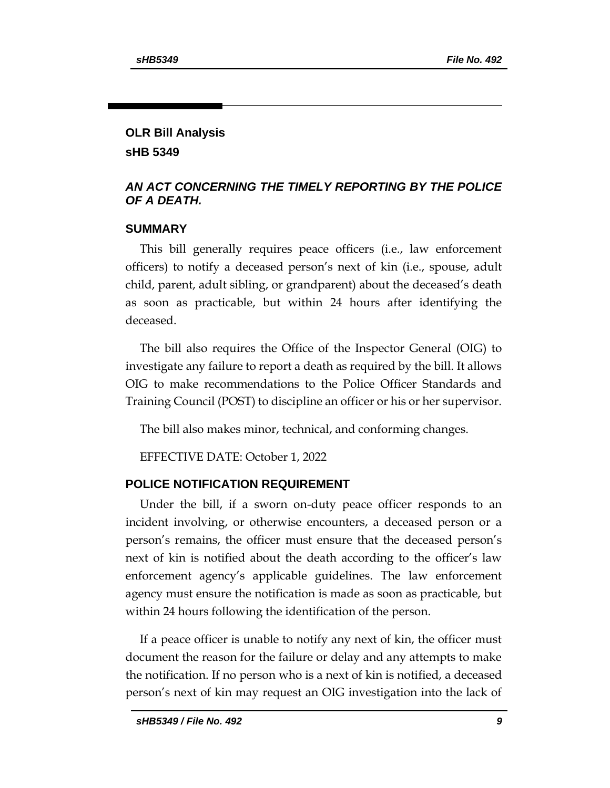## **OLR Bill Analysis sHB 5349**

## *AN ACT CONCERNING THE TIMELY REPORTING BY THE POLICE OF A DEATH.*

## **SUMMARY**

This bill generally requires peace officers (i.e., law enforcement officers) to notify a deceased person's next of kin (i.e., spouse, adult child, parent, adult sibling, or grandparent) about the deceased's death as soon as practicable, but within 24 hours after identifying the deceased.

The bill also requires the Office of the Inspector General (OIG) to investigate any failure to report a death as required by the bill. It allows OIG to make recommendations to the Police Officer Standards and Training Council (POST) to discipline an officer or his or her supervisor.

The bill also makes minor, technical, and conforming changes.

EFFECTIVE DATE: October 1, 2022

## **POLICE NOTIFICATION REQUIREMENT**

Under the bill, if a sworn on-duty peace officer responds to an incident involving, or otherwise encounters, a deceased person or a person's remains, the officer must ensure that the deceased person's next of kin is notified about the death according to the officer's law enforcement agency's applicable guidelines. The law enforcement agency must ensure the notification is made as soon as practicable, but within 24 hours following the identification of the person.

If a peace officer is unable to notify any next of kin, the officer must document the reason for the failure or delay and any attempts to make the notification. If no person who is a next of kin is notified, a deceased person's next of kin may request an OIG investigation into the lack of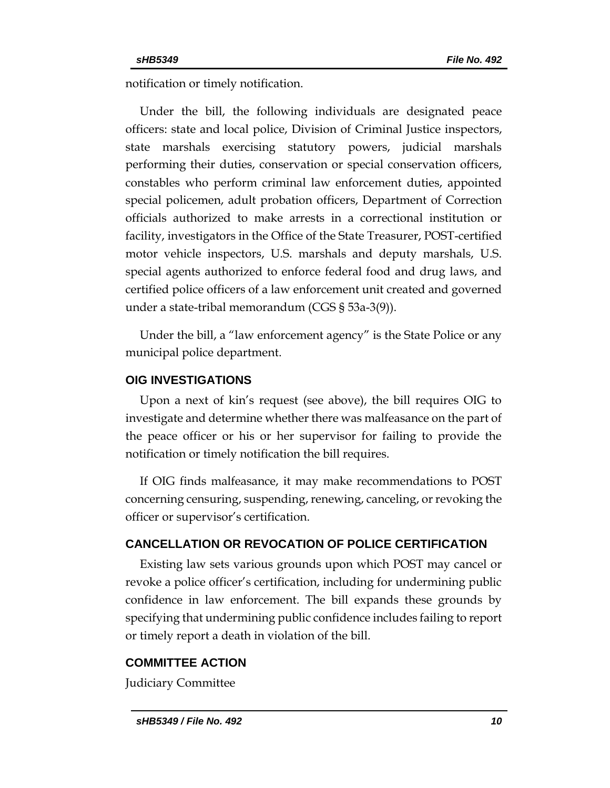notification or timely notification.

Under the bill, the following individuals are designated peace officers: state and local police, Division of Criminal Justice inspectors, state marshals exercising statutory powers, judicial marshals performing their duties, conservation or special conservation officers, constables who perform criminal law enforcement duties, appointed special policemen, adult probation officers, Department of Correction officials authorized to make arrests in a correctional institution or facility, investigators in the Office of the State Treasurer, POST-certified motor vehicle inspectors, U.S. marshals and deputy marshals, U.S. special agents authorized to enforce federal food and drug laws, and certified police officers of a law enforcement unit created and governed under a state-tribal memorandum (CGS § 53a-3(9)).

Under the bill, a "law enforcement agency" is the State Police or any municipal police department.

#### **OIG INVESTIGATIONS**

Upon a next of kin's request (see above), the bill requires OIG to investigate and determine whether there was malfeasance on the part of the peace officer or his or her supervisor for failing to provide the notification or timely notification the bill requires.

If OIG finds malfeasance, it may make recommendations to POST concerning censuring, suspending, renewing, canceling, or revoking the officer or supervisor's certification.

#### **CANCELLATION OR REVOCATION OF POLICE CERTIFICATION**

Existing law sets various grounds upon which POST may cancel or revoke a police officer's certification, including for undermining public confidence in law enforcement. The bill expands these grounds by specifying that undermining public confidence includes failing to report or timely report a death in violation of the bill.

#### **COMMITTEE ACTION**

Judiciary Committee